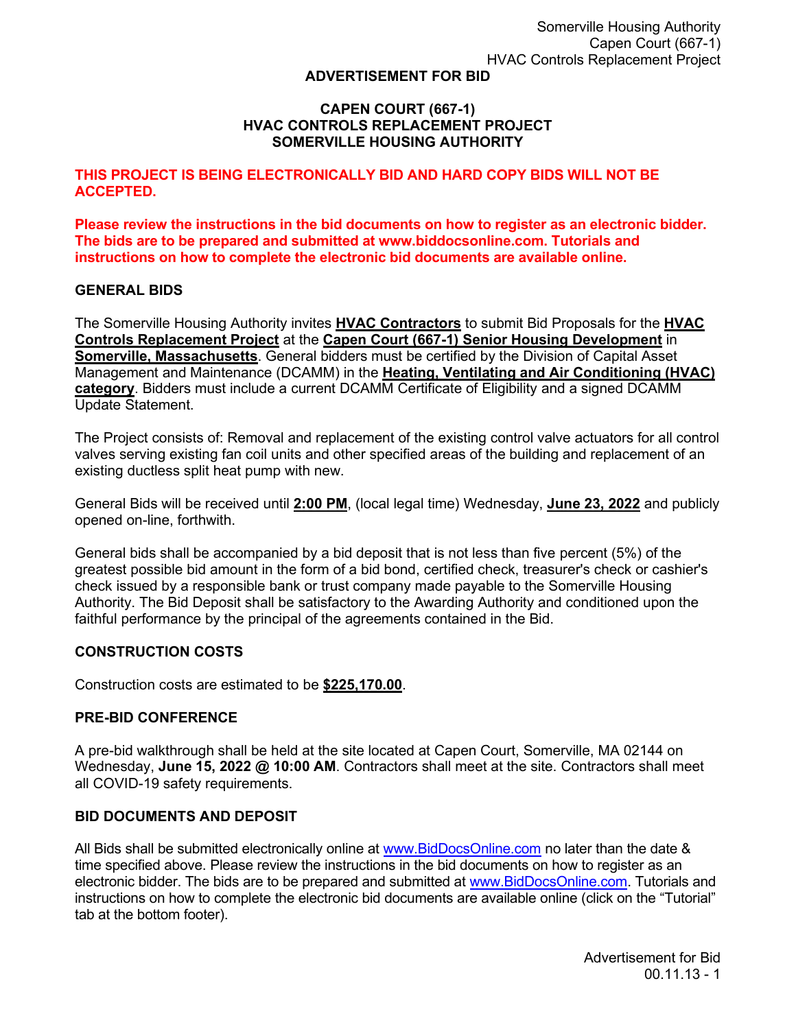#### **ADVERTISEMENT FOR BID**

### **CAPEN COURT (667-1) HVAC CONTROLS REPLACEMENT PROJECT SOMERVILLE HOUSING AUTHORITY**

**THIS PROJECT IS BEING ELECTRONICALLY BID AND HARD COPY BIDS WILL NOT BE ACCEPTED.** 

**Please review the instructions in the bid documents on how to register as an electronic bidder. The bids are to be prepared and submitted at www.biddocsonline.com. Tutorials and instructions on how to complete the electronic bid documents are available online.** 

### **GENERAL BIDS**

The Somerville Housing Authority invites **HVAC Contractors** to submit Bid Proposals for the **HVAC Controls Replacement Project** at the **Capen Court (667-1) Senior Housing Development** in **Somerville, Massachusetts**. General bidders must be certified by the Division of Capital Asset Management and Maintenance (DCAMM) in the **Heating, Ventilating and Air Conditioning (HVAC) category**. Bidders must include a current DCAMM Certificate of Eligibility and a signed DCAMM Update Statement.

The Project consists of: Removal and replacement of the existing control valve actuators for all control valves serving existing fan coil units and other specified areas of the building and replacement of an existing ductless split heat pump with new.

General Bids will be received until **2:00 PM**, (local legal time) Wednesday, **June 23, 2022** and publicly opened on-line, forthwith.

General bids shall be accompanied by a bid deposit that is not less than five percent (5%) of the greatest possible bid amount in the form of a bid bond, certified check, treasurer's check or cashier's check issued by a responsible bank or trust company made payable to the Somerville Housing Authority. The Bid Deposit shall be satisfactory to the Awarding Authority and conditioned upon the faithful performance by the principal of the agreements contained in the Bid.

# **CONSTRUCTION COSTS**

Construction costs are estimated to be **\$225,170.00**.

### **PRE-BID CONFERENCE**

A pre-bid walkthrough shall be held at the site located at Capen Court, Somerville, MA 02144 on Wednesday, **June 15, 2022 @ 10:00 AM**. Contractors shall meet at the site. Contractors shall meet all COVID-19 safety requirements.

### **BID DOCUMENTS AND DEPOSIT**

All Bids shall be submitted electronically online at [www.BidDocsOnline.com](http://www.biddocsonline.com/) no later than the date & time specified above. Please review the instructions in the bid documents on how to register as an electronic bidder. The bids are to be prepared and submitted at www.BidDocsOnline.com. Tutorials and instructions on how to complete the electronic bid documents are available online (click on the "Tutorial" tab at the bottom footer).